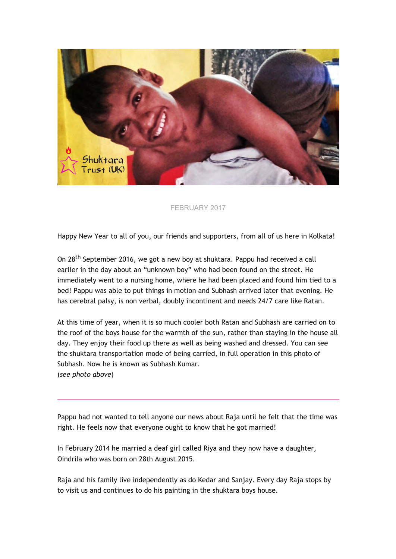

## FEBRUARY 2017

Happy New Year to all of you, our friends and supporters, from all of us here in Kolkata!

On 28th September 2016, we got a new boy at shuktara. Pappu had received a call earlier in the day about an "unknown boy" who had been found on the street. He immediately went to a nursing home, where he had been placed and found him tied to a bed! Pappu was able to put things in motion and Subhash arrived later that evening. He has cerebral palsy, is non verbal, doubly incontinent and needs 24/7 care like Ratan.

At this time of year, when it is so much cooler both Ratan and Subhash are carried on to the roof of the boys house for the warmth of the sun, rather than staying in the house all day. They enjoy their food up there as well as being washed and dressed. You can see the shuktara transportation mode of being carried, in full operation in this photo of Subhash. Now he is known as Subhash Kumar. (*see photo above*)

Pappu had not wanted to tell anyone our news about Raja until he felt that the time was right. He feels now that everyone ought to know that he got married!

In February 2014 he married a deaf girl called Riya and they now have a daughter, Oindrila who was born on 28th August 2015.

Raja and his family live independently as do Kedar and Sanjay. Every day Raja stops by to visit us and continues to do his painting in the shuktara boys house.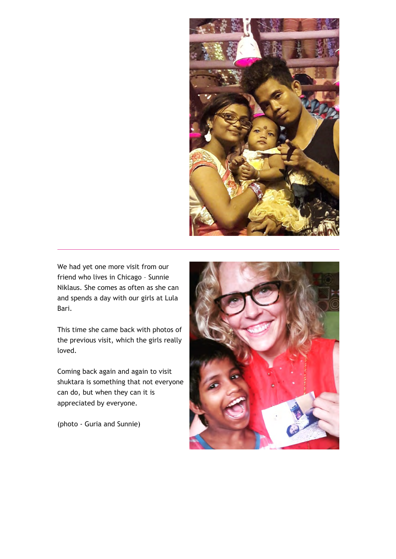

We had yet one more visit from our friend who lives in Chicago – Sunnie Niklaus. She comes as often as she can and spends a day with our girls at Lula Bari.

This time she came back with photos of the previous visit, which the girls really loved.

Coming back again and again to visit shuktara is something that not everyone can do, but when they can it is appreciated by everyone.

(photo ‐ Guria and Sunnie)

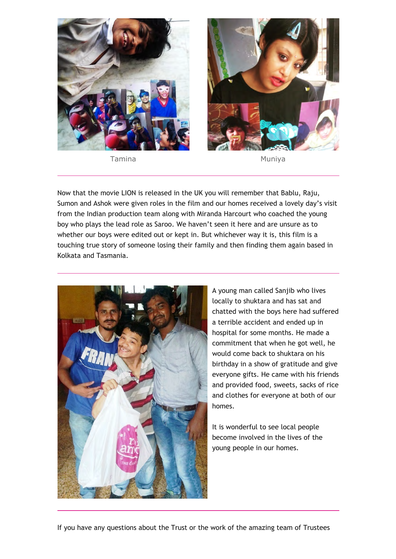

Tamina **Muniya** Muniya



Now that the movie LION is released in the UK you will remember that Bablu, Raju, Sumon and Ashok were given roles in the film and our homes received a lovely day's visit from the Indian production team along with Miranda Harcourt who coached the young boy who plays the lead role as Saroo. We haven't seen it here and are unsure as to whether our boys were edited out or kept in. But whichever way it is, this film is a touching true story of someone losing their family and then finding them again based in Kolkata and Tasmania.



A young man called Sanjib who lives locally to shuktara and has sat and chatted with the boys here had suffered a terrible accident and ended up in hospital for some months. He made a commitment that when he got well, he would come back to shuktara on his birthday in a show of gratitude and give everyone gifts. He came with his friends and provided food, sweets, sacks of rice and clothes for everyone at both of our homes.

It is wonderful to see local people become involved in the lives of the young people in our homes.

If you have any questions about the Trust or the work of the amazing team of Trustees